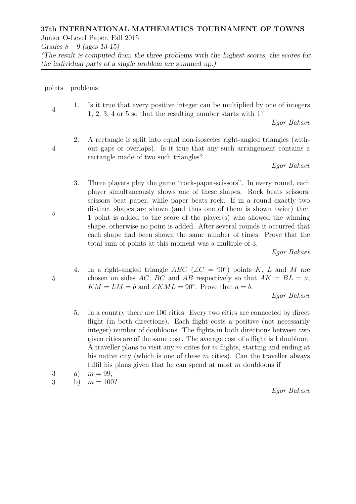# 37th INTERNATIONAL MATHEMATICS TOURNAMENT OF TOWNS

Junior O-Level Paper, Fall 2015

Grades  $8 - 9$  (ages 13-15)

(The result is computed from the three problems with the highest scores, the scores for the individual parts of a single problem are summed up.)

### points problems

4 1. Is it true that every positive integer can be multiplied by one of integers 1, 2, 3, 4 or 5 so that the resulting number starts with 1?

Egor Bakaev

4

2. A rectangle is split into equal non-isosceles right-angled triangles (without gaps or overlaps). Is it true that any such arrangement contains a rectangle made of two such triangles?

Egor Bakaev

3. Three players play the game "rock-paper-scissors". In every round, each player simultaneously shows one of these shapes. Rock beats scissors, scissors beat paper, while paper beats rock. If in a round exactly two distinct shapes are shown (and thus one of them is shown twice) then 1 point is added to the score of the player(s) who showed the winning shape, otherwise no point is added. After several rounds it occurred that each shape had been shown the same number of times. Prove that the total sum of points at this moment was a multiple of 3.

Egor Bakaev

4. In a right-angled triangle  $ABC$  ( $\angle C = 90^{\circ}$ ) points K, L and M are chosen on sides AC, BC and AB respectively so that  $AK = BL = a$ ,  $KM = LM = b$  and  $\angle KML = 90^{\circ}$ . Prove that  $a = b$ .

Egor Bakaev

5. In a country there are 100 cities. Every two cities are connected by direct flight (in both directions). Each flight costs a positive (not necessarily integer) number of doubloons. The flights in both directions between two given cities are of the same cost. The average cost of a flight is 1 doubloon. A traveller plans to visit any m cities for m flights, starting and ending at his native city (which is one of these  $m$  cities). Can the traveller always fulfil his plans given that he can spend at most  $m$  doubloons if

3 a)  $m = 99$ ;

3 b)  $m = 100?$ 

Egor Bakaev

5

5